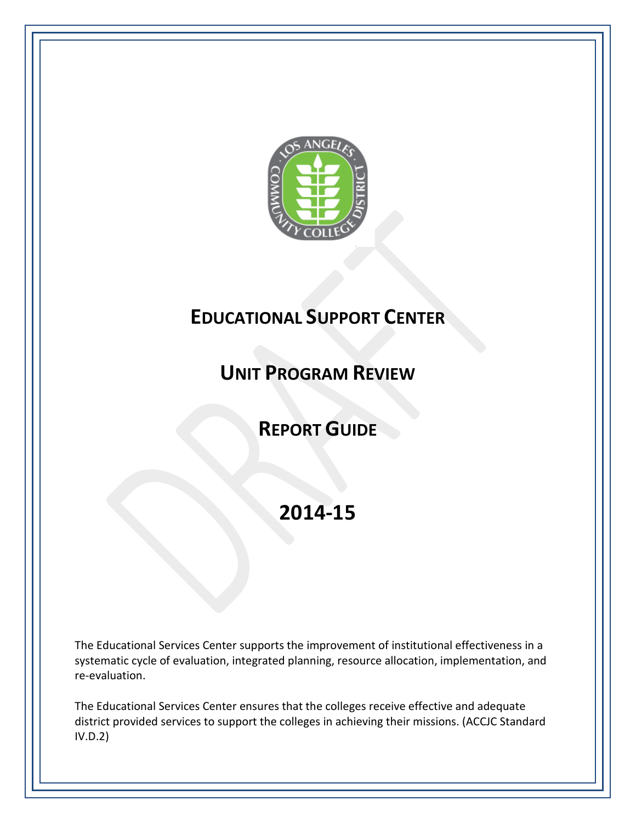

# **EDUCATIONAL SUPPORT CENTER**

# **UNIT PROGRAM REVIEW**

# **REPORT GUIDE**

# **2014-15**

The Educational Services Center supports the improvement of institutional effectiveness in a systematic cycle of evaluation, integrated planning, resource allocation, implementation, and re-evaluation.

The Educational Services Center ensures that the colleges receive effective and adequate district provided services to support the colleges in achieving their missions. (ACCJC Standard IV.D.2)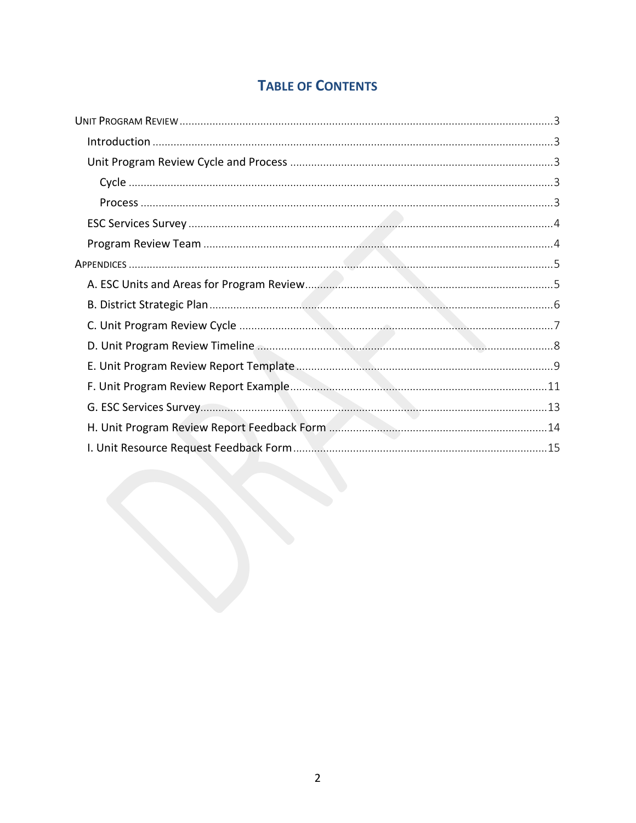## **TABLE OF CONTENTS**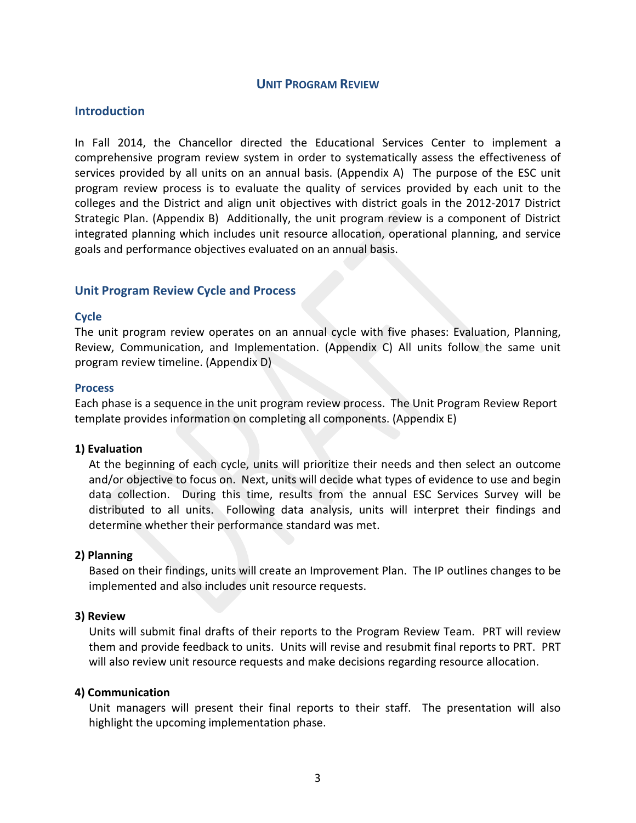## **UNIT PROGRAM REVIEW**

## <span id="page-2-1"></span><span id="page-2-0"></span>**Introduction**

In Fall 2014, the Chancellor directed the Educational Services Center to implement a comprehensive program review system in order to systematically assess the effectiveness of services provided by all units on an annual basis. (Appendix A) The purpose of the ESC unit program review process is to evaluate the quality of services provided by each unit to the colleges and the District and align unit objectives with district goals in the 2012-2017 District Strategic Plan. (Appendix B) Additionally, the unit program review is a component of District integrated planning which includes unit resource allocation, operational planning, and service goals and performance objectives evaluated on an annual basis.

## <span id="page-2-3"></span><span id="page-2-2"></span>**Unit Program Review Cycle and Process**

#### **Cycle**

The unit program review operates on an annual cycle with five phases: Evaluation, Planning, Review, Communication, and Implementation. (Appendix C) All units follow the same unit program review timeline. (Appendix D)

#### <span id="page-2-4"></span>**Process**

Each phase is a sequence in the unit program review process. The Unit Program Review Report template provides information on completing all components. (Appendix E)

### **1) Evaluation**

At the beginning of each cycle, units will prioritize their needs and then select an outcome and/or objective to focus on. Next, units will decide what types of evidence to use and begin data collection. During this time, results from the annual ESC Services Survey will be distributed to all units. Following data analysis, units will interpret their findings and determine whether their performance standard was met.

## **2) Planning**

Based on their findings, units will create an Improvement Plan. The IP outlines changes to be implemented and also includes unit resource requests.

### **3) Review**

Units will submit final drafts of their reports to the Program Review Team. PRT will review them and provide feedback to units. Units will revise and resubmit final reports to PRT. PRT will also review unit resource requests and make decisions regarding resource allocation.

#### **4) Communication**

Unit managers will present their final reports to their staff. The presentation will also highlight the upcoming implementation phase.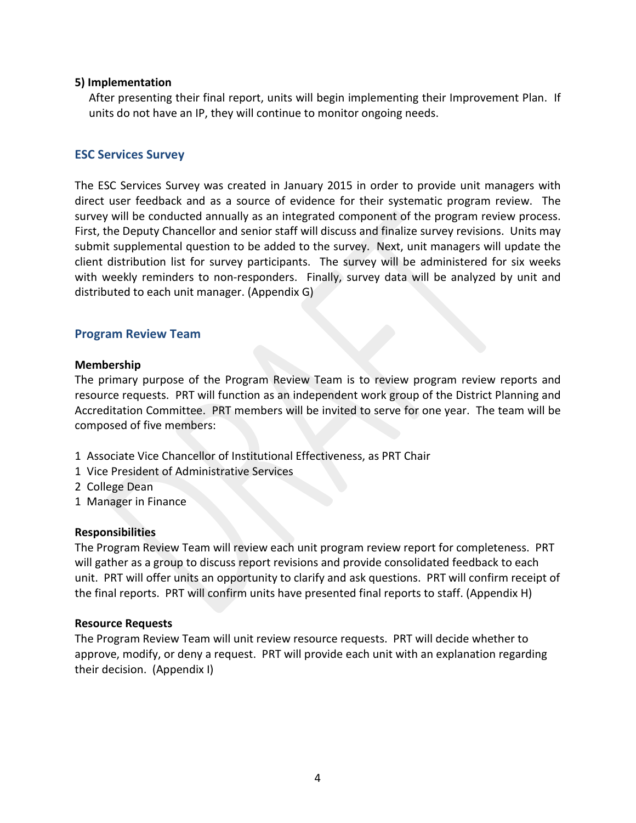## **5) Implementation**

After presenting their final report, units will begin implementing their Improvement Plan. If units do not have an IP, they will continue to monitor ongoing needs.

## <span id="page-3-0"></span>**ESC Services Survey**

The ESC Services Survey was created in January 2015 in order to provide unit managers with direct user feedback and as a source of evidence for their systematic program review. The survey will be conducted annually as an integrated component of the program review process. First, the Deputy Chancellor and senior staff will discuss and finalize survey revisions. Units may submit supplemental question to be added to the survey. Next, unit managers will update the client distribution list for survey participants. The survey will be administered for six weeks with weekly reminders to non-responders. Finally, survey data will be analyzed by unit and distributed to each unit manager. (Appendix G)

## <span id="page-3-1"></span>**Program Review Team**

## **Membership**

The primary purpose of the Program Review Team is to review program review reports and resource requests. PRT will function as an independent work group of the District Planning and Accreditation Committee. PRT members will be invited to serve for one year. The team will be composed of five members:

- 1 Associate Vice Chancellor of Institutional Effectiveness, as PRT Chair
- 1 Vice President of Administrative Services
- 2 College Dean
- 1 Manager in Finance

## **Responsibilities**

The Program Review Team will review each unit program review report for completeness. PRT will gather as a group to discuss report revisions and provide consolidated feedback to each unit. PRT will offer units an opportunity to clarify and ask questions. PRT will confirm receipt of the final reports. PRT will confirm units have presented final reports to staff. (Appendix H)

### **Resource Requests**

The Program Review Team will unit review resource requests. PRT will decide whether to approve, modify, or deny a request. PRT will provide each unit with an explanation regarding their decision. (Appendix I)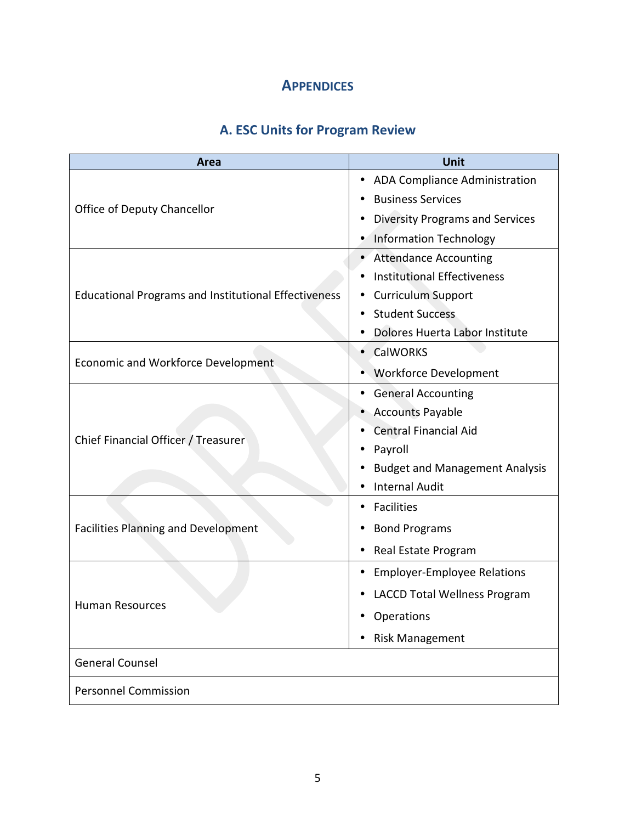## **APPENDICES**

## **A. ESC Units for Program Review**

<span id="page-4-1"></span><span id="page-4-0"></span>

| Area                                                        | Unit                                        |
|-------------------------------------------------------------|---------------------------------------------|
|                                                             | ADA Compliance Administration<br>٠          |
| Office of Deputy Chancellor                                 | <b>Business Services</b>                    |
|                                                             | <b>Diversity Programs and Services</b><br>٠ |
|                                                             | <b>Information Technology</b><br>٠          |
|                                                             | <b>Attendance Accounting</b>                |
|                                                             | <b>Institutional Effectiveness</b>          |
| <b>Educational Programs and Institutional Effectiveness</b> | <b>Curriculum Support</b>                   |
|                                                             | <b>Student Success</b>                      |
|                                                             | Dolores Huerta Labor Institute              |
| <b>Economic and Workforce Development</b>                   | <b>CalWORKS</b>                             |
|                                                             | <b>Workforce Development</b>                |
|                                                             | <b>General Accounting</b><br>٠              |
|                                                             | <b>Accounts Payable</b>                     |
| Chief Financial Officer / Treasurer                         | <b>Central Financial Aid</b>                |
|                                                             | Payroll                                     |
|                                                             | <b>Budget and Management Analysis</b>       |
|                                                             | <b>Internal Audit</b>                       |
|                                                             | <b>Facilities</b>                           |
| <b>Facilities Planning and Development</b>                  | <b>Bond Programs</b><br>٠                   |
|                                                             | Real Estate Program<br>٠                    |
|                                                             | <b>Employer-Employee Relations</b><br>٠     |
|                                                             | <b>LACCD Total Wellness Program</b>         |
| <b>Human Resources</b>                                      | <b>Operations</b>                           |
|                                                             | <b>Risk Management</b>                      |
| <b>General Counsel</b>                                      |                                             |
| <b>Personnel Commission</b>                                 |                                             |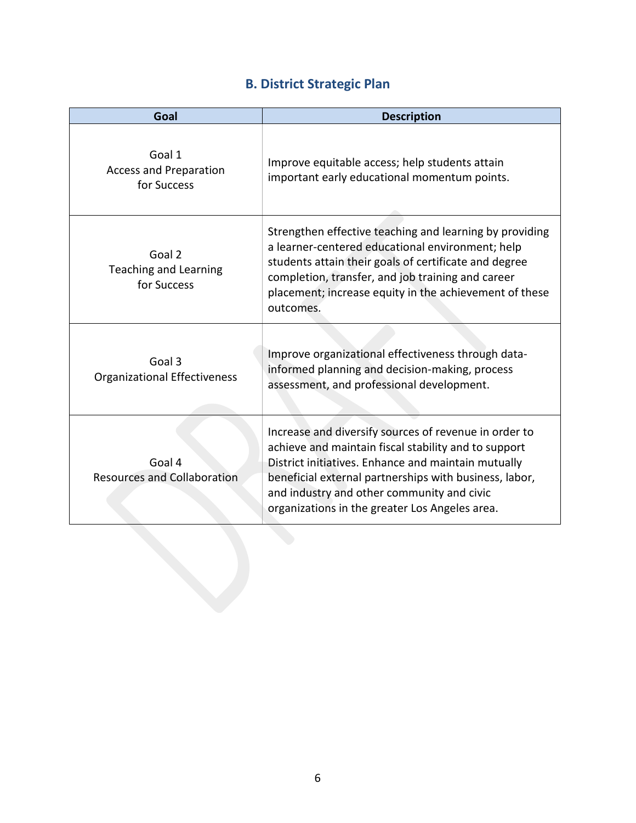## **B. District Strategic Plan**

<span id="page-5-0"></span>

| Goal                                                   | <b>Description</b>                                                                                                                                                                                                                                                                                                             |  |  |  |
|--------------------------------------------------------|--------------------------------------------------------------------------------------------------------------------------------------------------------------------------------------------------------------------------------------------------------------------------------------------------------------------------------|--|--|--|
| Goal 1<br><b>Access and Preparation</b><br>for Success | Improve equitable access; help students attain<br>important early educational momentum points.                                                                                                                                                                                                                                 |  |  |  |
| Goal 2<br><b>Teaching and Learning</b><br>for Success  | Strengthen effective teaching and learning by providing<br>a learner-centered educational environment; help<br>students attain their goals of certificate and degree<br>completion, transfer, and job training and career<br>placement; increase equity in the achievement of these<br>outcomes.                               |  |  |  |
| Goal 3<br><b>Organizational Effectiveness</b>          | Improve organizational effectiveness through data-<br>informed planning and decision-making, process<br>assessment, and professional development.                                                                                                                                                                              |  |  |  |
| Goal 4<br><b>Resources and Collaboration</b>           | Increase and diversify sources of revenue in order to<br>achieve and maintain fiscal stability and to support<br>District initiatives. Enhance and maintain mutually<br>beneficial external partnerships with business, labor,<br>and industry and other community and civic<br>organizations in the greater Los Angeles area. |  |  |  |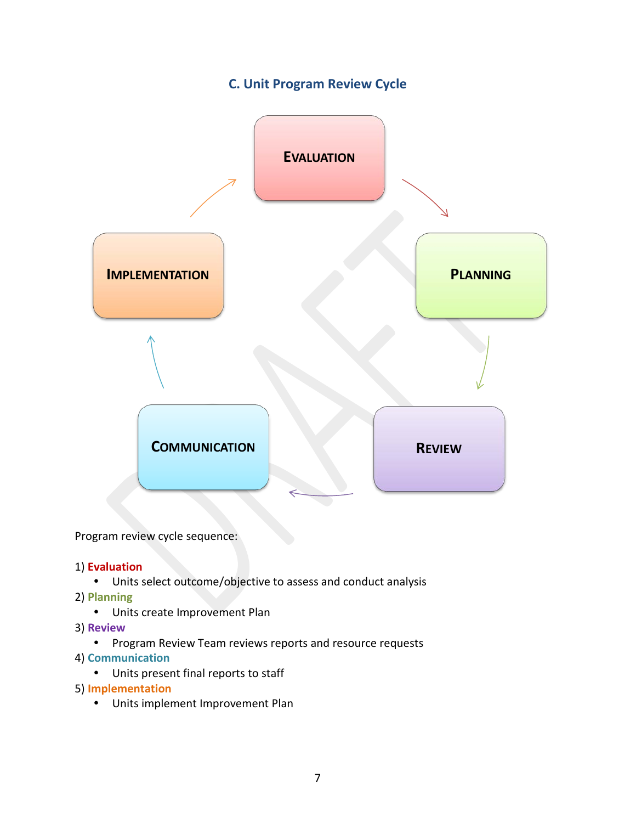## **C. Unit Program Review Cycle**

<span id="page-6-0"></span>

Program review cycle sequence:

## 1) **Evaluation**

- Units select outcome/objective to assess and conduct analysis
- 2) **Planning**
	- Units create Improvement Plan
- 3) **Review**
	- Program Review Team reviews reports and resource requests
- 4) **Communication**
	- Units present final reports to staff
- 5) **Implementation**
	- Units implement Improvement Plan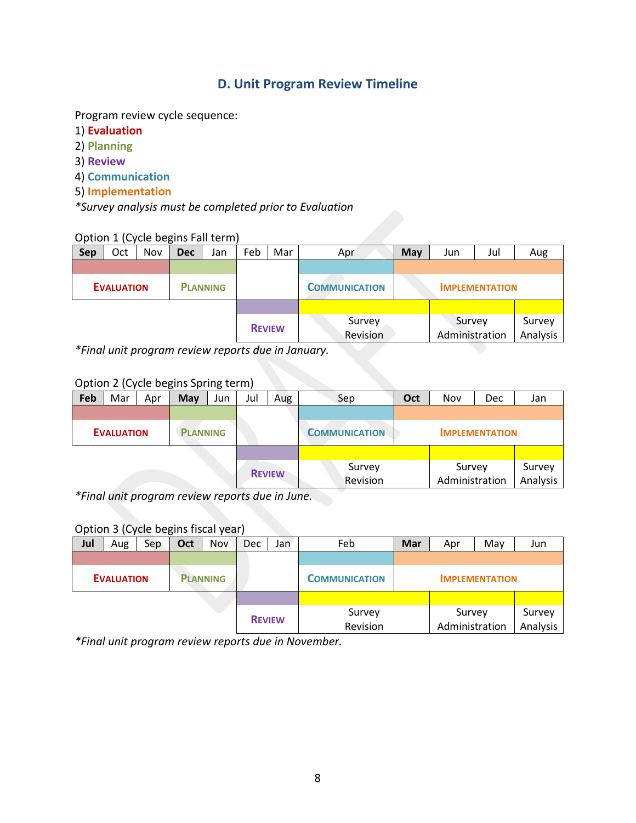## **D. Unit Program Review Timeline**

<span id="page-7-0"></span>Program review cycle sequence:

- 1) **Evaluation**
- 2) **Planning**
- 3) **Review**
- 4) **Communication**
- 5) **Implementation**

*\*Survey analysis must be completed prior to Evaluation*

## Option 1 (Cycle begins Fall term)

| <b>Sep</b> | Oct                                               | <b>Nov</b> | <b>Dec</b> | Jan             | Feb | Mar           | Apr                                            | May                   | Jun | Jul | Aug                |
|------------|---------------------------------------------------|------------|------------|-----------------|-----|---------------|------------------------------------------------|-----------------------|-----|-----|--------------------|
|            |                                                   |            |            |                 |     |               |                                                |                       |     |     |                    |
|            | <b>EVALUATION</b>                                 |            |            | <b>PLANNING</b> |     |               | <b>COMMUNICATION</b>                           | <b>IMPLEMENTATION</b> |     |     |                    |
|            |                                                   |            |            |                 |     |               |                                                |                       |     |     |                    |
|            |                                                   |            |            |                 |     | <b>REVIEW</b> | Survey<br>Survey<br>Administration<br>Revision |                       |     |     | Survey<br>Analysis |
|            | *Final unit program review reports due in January |            |            |                 |     |               |                                                |                       |     |     |                    |

*\*Final unit program review reports due in January.*

## Option 2 (Cycle begins Spring term)

| Feb | Mar               | Apr           | May             | Jun      | Jul            | Aug | Sep                  | Nov<br>Oct<br>Dec<br>Jan |  |  |  |
|-----|-------------------|---------------|-----------------|----------|----------------|-----|----------------------|--------------------------|--|--|--|
|     |                   |               |                 |          |                |     |                      |                          |  |  |  |
|     | <b>EVALUATION</b> |               | <b>PLANNING</b> |          |                |     | <b>COMMUNICATION</b> | <b>IMPLEMENTATION</b>    |  |  |  |
|     |                   |               |                 |          |                |     |                      |                          |  |  |  |
|     |                   |               |                 | Survey   | Survey         |     | Survey               |                          |  |  |  |
|     |                   | <b>REVIEW</b> |                 | Revision | Administration |     | Analysis             |                          |  |  |  |

*\*Final unit program review reports due in June.*

## Option 3 (Cycle begins fiscal year)

| Jul | Aug               | Sep | Oct | Nov             | Dec | Jan                | Feb                  | <b>Mar</b><br>Apr        |                       | May                | Jun |
|-----|-------------------|-----|-----|-----------------|-----|--------------------|----------------------|--------------------------|-----------------------|--------------------|-----|
|     |                   |     |     |                 |     |                    |                      |                          |                       |                    |     |
|     | <b>EVALUATION</b> |     |     | <b>PLANNING</b> |     |                    | <b>COMMUNICATION</b> |                          | <b>IMPLEMENTATION</b> |                    |     |
|     |                   |     |     |                 |     |                    |                      |                          |                       |                    |     |
|     |                   |     |     | <b>REVIEW</b>   |     | Survey<br>Revision |                      | Survey<br>Administration |                       | Survey<br>Analysis |     |

*\*Final unit program review reports due in November.*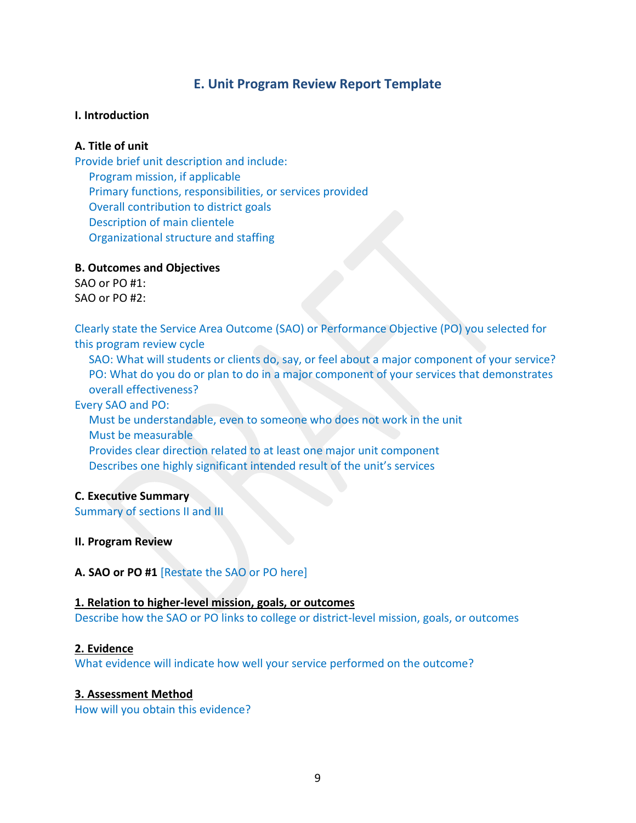## **E. Unit Program Review Report Template**

## <span id="page-8-0"></span>**I. Introduction**

## **A. Title of unit**

Provide brief unit description and include: Program mission, if applicable Primary functions, responsibilities, or services provided Overall contribution to district goals Description of main clientele Organizational structure and staffing

### **B. Outcomes and Objectives**

 $SAO$  or PO #1: SAO or PO #2:

Clearly state the Service Area Outcome (SAO) or Performance Objective (PO) you selected for this program review cycle

SAO: What will students or clients do, say, or feel about a major component of your service? PO: What do you do or plan to do in a major component of your services that demonstrates overall effectiveness?

## Every SAO and PO:

Must be understandable, even to someone who does not work in the unit Must be measurable Provides clear direction related to at least one major unit component Describes one highly significant intended result of the unit's services

### **C. Executive Summary**

Summary of sections II and III

### **II. Program Review**

**A. SAO or PO #1** [Restate the SAO or PO here]

## **1. Relation to higher-level mission, goals, or outcomes**

Describe how the SAO or PO links to college or district-level mission, goals, or outcomes

## **2. Evidence**

What evidence will indicate how well your service performed on the outcome?

## **3. Assessment Method**

How will you obtain this evidence?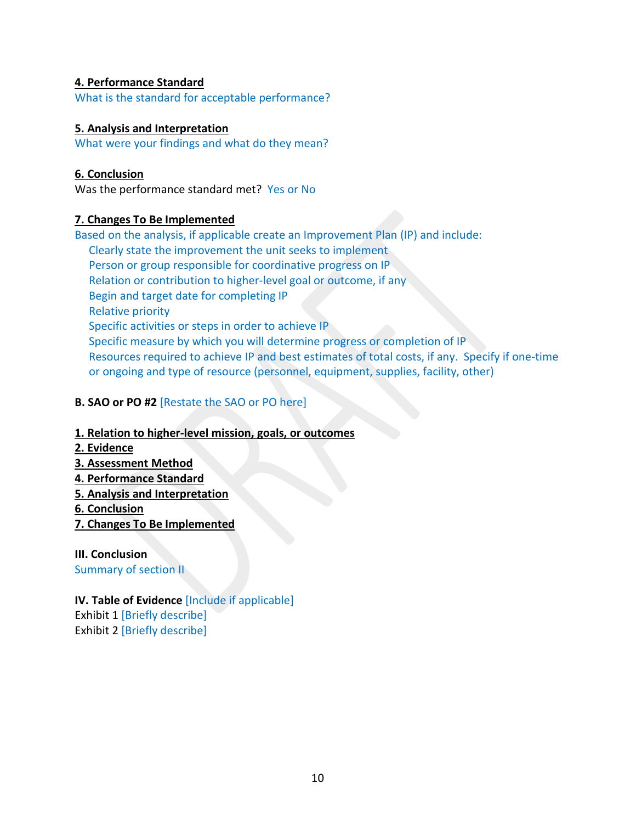## **4. Performance Standard**

What is the standard for acceptable performance?

## **5. Analysis and Interpretation**

What were your findings and what do they mean?

## **6. Conclusion**

Was the performance standard met? Yes or No

## **7. Changes To Be Implemented**

Based on the analysis, if applicable create an Improvement Plan (IP) and include: Clearly state the improvement the unit seeks to implement Person or group responsible for coordinative progress on IP Relation or contribution to higher-level goal or outcome, if any Begin and target date for completing IP Relative priority Specific activities or steps in order to achieve IP Specific measure by which you will determine progress or completion of IP Resources required to achieve IP and best estimates of total costs, if any. Specify if one-time or ongoing and type of resource (personnel, equipment, supplies, facility, other)

## **B. SAO or PO #2** [Restate the SAO or PO here]

## **1. Relation to higher-level mission, goals, or outcomes**

- **2. Evidence**
- **3. Assessment Method**
- **4. Performance Standard**
- **5. Analysis and Interpretation**
- **6. Conclusion**
- **7. Changes To Be Implemented**

## **III. Conclusion**

Summary of section II

## **IV. Table of Evidence** [Include if applicable]

Exhibit 1 [Briefly describe] Exhibit 2 [Briefly describe]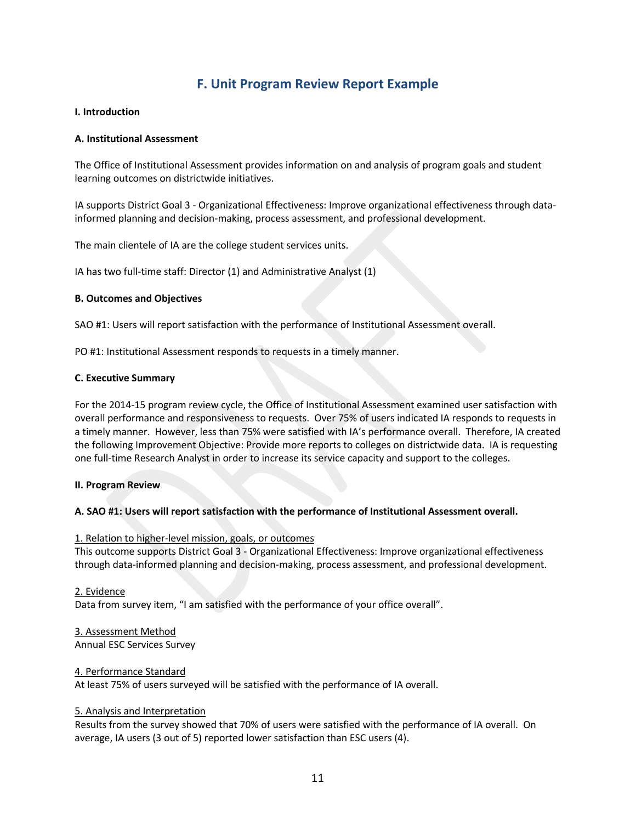## **F. Unit Program Review Report Example**

### <span id="page-10-0"></span>**I. Introduction**

#### **A. Institutional Assessment**

The Office of Institutional Assessment provides information on and analysis of program goals and student learning outcomes on districtwide initiatives.

IA supports District Goal 3 - Organizational Effectiveness: Improve organizational effectiveness through datainformed planning and decision-making, process assessment, and professional development.

The main clientele of IA are the college student services units.

IA has two full-time staff: Director (1) and Administrative Analyst (1)

#### **B. Outcomes and Objectives**

SAO #1: Users will report satisfaction with the performance of Institutional Assessment overall.

PO #1: Institutional Assessment responds to requests in a timely manner.

#### **C. Executive Summary**

For the 2014-15 program review cycle, the Office of Institutional Assessment examined user satisfaction with overall performance and responsiveness to requests. Over 75% of users indicated IA responds to requests in a timely manner. However, less than 75% were satisfied with IA's performance overall. Therefore, IA created the following Improvement Objective: Provide more reports to colleges on districtwide data. IA is requesting one full-time Research Analyst in order to increase its service capacity and support to the colleges.

#### **II. Program Review**

### **A. SAO #1: Users will report satisfaction with the performance of Institutional Assessment overall.**

#### 1. Relation to higher-level mission, goals, or outcomes

This outcome supports District Goal 3 - Organizational Effectiveness: Improve organizational effectiveness through data-informed planning and decision-making, process assessment, and professional development.

#### 2. Evidence

Data from survey item, "I am satisfied with the performance of your office overall".

## 3. Assessment Method

Annual ESC Services Survey

#### 4. Performance Standard

At least 75% of users surveyed will be satisfied with the performance of IA overall.

#### 5. Analysis and Interpretation

Results from the survey showed that 70% of users were satisfied with the performance of IA overall. On average, IA users (3 out of 5) reported lower satisfaction than ESC users (4).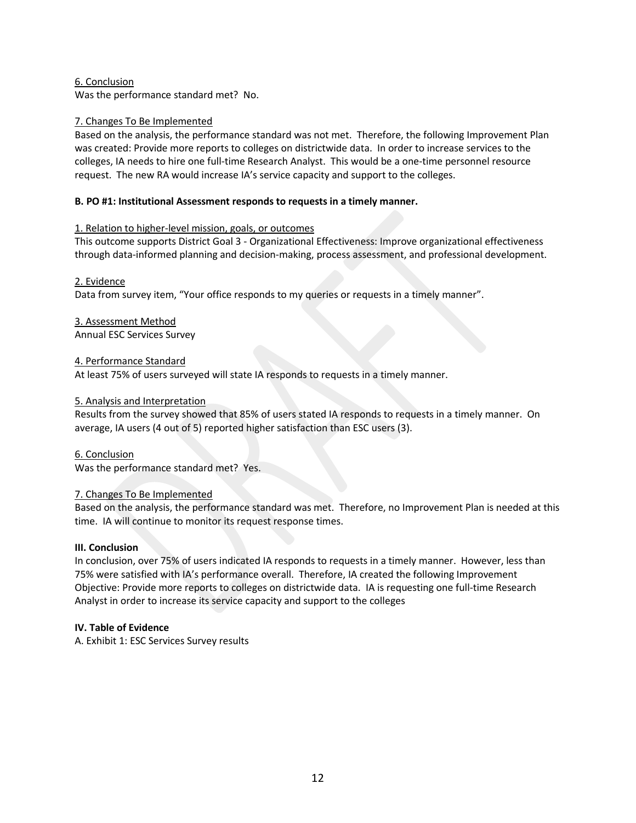#### 6. Conclusion

Was the performance standard met? No.

#### 7. Changes To Be Implemented

Based on the analysis, the performance standard was not met. Therefore, the following Improvement Plan was created: Provide more reports to colleges on districtwide data. In order to increase services to the colleges, IA needs to hire one full-time Research Analyst. This would be a one-time personnel resource request. The new RA would increase IA's service capacity and support to the colleges.

#### **B. PO #1: Institutional Assessment responds to requests in a timely manner.**

#### 1. Relation to higher-level mission, goals, or outcomes

This outcome supports District Goal 3 - Organizational Effectiveness: Improve organizational effectiveness through data-informed planning and decision-making, process assessment, and professional development.

#### 2. Evidence

Data from survey item, "Your office responds to my queries or requests in a timely manner".

## 3. Assessment Method

Annual ESC Services Survey

#### 4. Performance Standard

At least 75% of users surveyed will state IA responds to requests in a timely manner.

#### 5. Analysis and Interpretation

Results from the survey showed that 85% of users stated IA responds to requests in a timely manner. On average, IA users (4 out of 5) reported higher satisfaction than ESC users (3).

### 6. Conclusion

Was the performance standard met? Yes.

### 7. Changes To Be Implemented

Based on the analysis, the performance standard was met. Therefore, no Improvement Plan is needed at this time. IA will continue to monitor its request response times.

#### **III. Conclusion**

In conclusion, over 75% of users indicated IA responds to requests in a timely manner. However, less than 75% were satisfied with IA's performance overall. Therefore, IA created the following Improvement Objective: Provide more reports to colleges on districtwide data. IA is requesting one full-time Research Analyst in order to increase its service capacity and support to the colleges

#### **IV. Table of Evidence**

A. Exhibit 1: ESC Services Survey results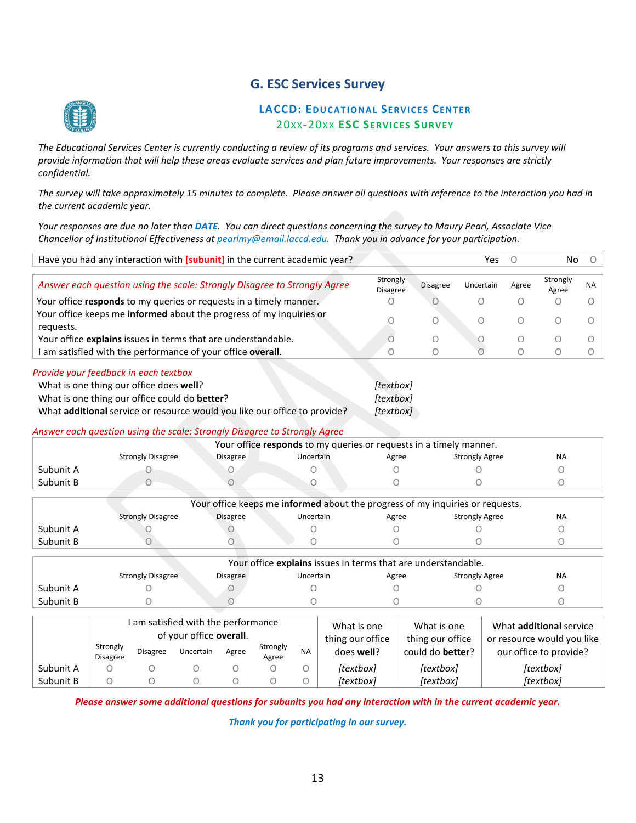## **G. ESC Services Survey**

<span id="page-12-0"></span>

## **LACCD: EDUCATIONAL SERVICES CENTER** 20XX-20X X **ESC SERVICES SURVEY**

The Educational Services Center is currently conducting a review of its programs and services. Your answers to this survey will *provide information that will help these areas evaluate services and plan future improvements. Your responses are strictly confidential.*

*The survey will take approximately 15 minutes to complete. Please answer all questions with reference to the interaction you had in the current academic year.*

*Your responses are due no later than DATE. You can direct questions concerning the survey to Maury Pearl, Associate Vice Chancellor of Institutional Effectiveness at pearlmy@email.laccd.edu. Thank you in advance for your participation.*

|           | Have you had any interaction with [subunit] in the current academic year?                                                                                                                                                                          |                  |                                                                               |                                     |                 | Yes                   | $\Omega$ | No                |            |
|-----------|----------------------------------------------------------------------------------------------------------------------------------------------------------------------------------------------------------------------------------------------------|------------------|-------------------------------------------------------------------------------|-------------------------------------|-----------------|-----------------------|----------|-------------------|------------|
|           | Answer each question using the scale: Strongly Disagree to Strongly Agree                                                                                                                                                                          |                  |                                                                               | Strongly<br><b>Disagree</b>         | <b>Disagree</b> | Uncertain             | Agree    | Strongly<br>Agree | <b>NA</b>  |
|           | Your office responds to my queries or requests in a timely manner.                                                                                                                                                                                 |                  |                                                                               |                                     |                 | Ω                     | Ω        | ∩                 |            |
| requests. | Your office keeps me informed about the progress of my inquiries or                                                                                                                                                                                |                  |                                                                               |                                     | O               | Ω                     | Ω        | $\bigcirc$        | $\bigcirc$ |
|           | Your office explains issues in terms that are understandable.                                                                                                                                                                                      |                  |                                                                               | n                                   | O               | U                     | Ω        | O                 | $\bigcirc$ |
|           | I am satisfied with the performance of your office overall.                                                                                                                                                                                        |                  |                                                                               | 0                                   | Ο               | $\bigcirc$            | Ο        | O                 | O          |
|           | What is one thing our office does well?<br>What is one thing our office could do better?<br>What additional service or resource would you like our office to provide?<br>Answer each question using the scale: Strongly Disagree to Strongly Agree |                  | Your office responds to my queries or requests in a timely manner.            | [textbox]<br>[textbox]<br>[textbox] |                 |                       |          |                   |            |
|           | <b>Strongly Disagree</b>                                                                                                                                                                                                                           | <b>Disagree</b>  | Uncertain                                                                     | Agree                               |                 | <b>Strongly Agree</b> |          | <b>NA</b>         |            |
| Subunit A |                                                                                                                                                                                                                                                    | O                | Ω                                                                             |                                     |                 |                       |          | Ω                 |            |
| Subunit B | Ω                                                                                                                                                                                                                                                  |                  | Ο                                                                             | ∩                                   |                 | Ω                     |          | Ω                 |            |
|           |                                                                                                                                                                                                                                                    |                  | Your office keeps me informed about the progress of my inquiries or requests. |                                     |                 |                       |          |                   |            |
|           | <b>Strongly Disagree</b>                                                                                                                                                                                                                           | <b>Disagree</b>  | Uncertain                                                                     | Agree                               |                 | <b>Strongly Agree</b> |          | <b>NA</b>         |            |
| Subunit A |                                                                                                                                                                                                                                                    |                  |                                                                               |                                     |                 |                       |          | O                 |            |
| Subunit B | O                                                                                                                                                                                                                                                  |                  | Ω                                                                             | Ω                                   |                 | Ω                     |          | Ω                 |            |
|           |                                                                                                                                                                                                                                                    |                  | Your office explains issues in terms that are understandable.                 |                                     |                 |                       |          |                   |            |
|           | <b>Strongly Disagree</b>                                                                                                                                                                                                                           | Disagree         | Uncertain                                                                     | Agree                               |                 | <b>Strongly Agree</b> |          | <b>NA</b>         |            |
| Subunit A |                                                                                                                                                                                                                                                    | $\left( \right)$ |                                                                               |                                     |                 |                       |          |                   |            |

| Subunit B |                 |                 |                                                                             |       |          |           |                                               |                                                     |                                                                                        |
|-----------|-----------------|-----------------|-----------------------------------------------------------------------------|-------|----------|-----------|-----------------------------------------------|-----------------------------------------------------|----------------------------------------------------------------------------------------|
|           | Strongly        | <b>Disagree</b> | I am satisfied with the performance<br>of your office overall.<br>Uncertain | Agree | Strongly | <b>NA</b> | What is one<br>thing our office<br>does well? | What is one<br>thing our office<br>could do better? | What <b>additional</b> service<br>or resource would you like<br>our office to provide? |
| Subunit A | <b>Disagree</b> |                 |                                                                             |       | Agree    |           | [textbox]                                     | [textbox]                                           | [textbox]                                                                              |
| Subunit B |                 |                 |                                                                             |       |          |           | [textbox]                                     | [textbox]                                           | [textbox]                                                                              |

*Please answer some additional questions for subunits you had any interaction with in the current academic year.*

*Thank you for participating in our survey.*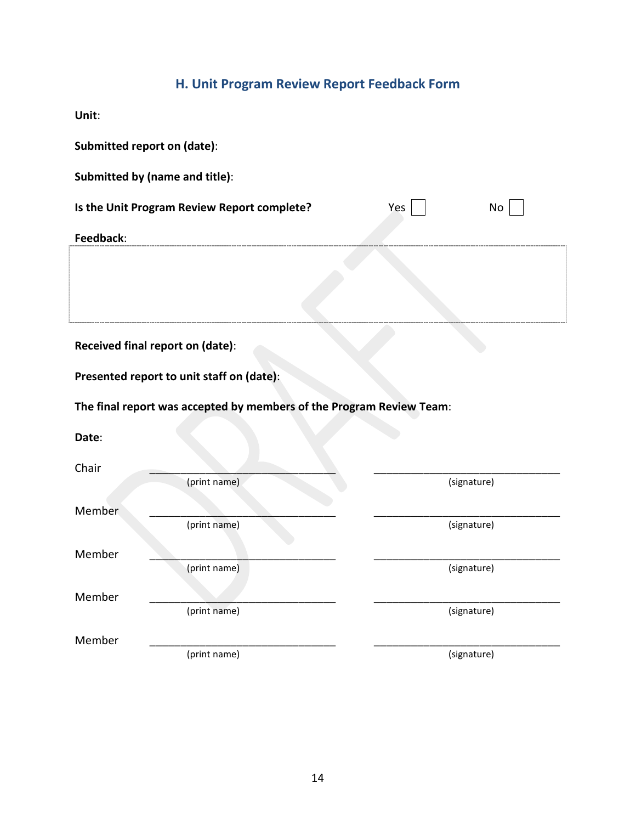## **H. Unit Program Review Report Feedback Form**

<span id="page-13-0"></span>**Unit**:

| Submitted report on (date):                              |                                                                      |  |             |  |  |  |  |  |
|----------------------------------------------------------|----------------------------------------------------------------------|--|-------------|--|--|--|--|--|
|                                                          | Submitted by (name and title):                                       |  |             |  |  |  |  |  |
| Is the Unit Program Review Report complete?<br>Yes<br>No |                                                                      |  |             |  |  |  |  |  |
| Feedback:                                                |                                                                      |  |             |  |  |  |  |  |
|                                                          |                                                                      |  |             |  |  |  |  |  |
|                                                          | Received final report on (date):                                     |  |             |  |  |  |  |  |
|                                                          | Presented report to unit staff on (date):                            |  |             |  |  |  |  |  |
|                                                          | The final report was accepted by members of the Program Review Team: |  |             |  |  |  |  |  |
| Date:                                                    |                                                                      |  |             |  |  |  |  |  |
| Chair                                                    |                                                                      |  |             |  |  |  |  |  |
|                                                          | (print name)                                                         |  | (signature) |  |  |  |  |  |
| Member                                                   |                                                                      |  |             |  |  |  |  |  |
|                                                          | (print name)                                                         |  | (signature) |  |  |  |  |  |
| Member                                                   |                                                                      |  |             |  |  |  |  |  |
|                                                          | (print name)                                                         |  | (signature) |  |  |  |  |  |
| Member                                                   | (print name)                                                         |  | (signature) |  |  |  |  |  |
| Member                                                   |                                                                      |  |             |  |  |  |  |  |
|                                                          | (print name)                                                         |  | (signature) |  |  |  |  |  |